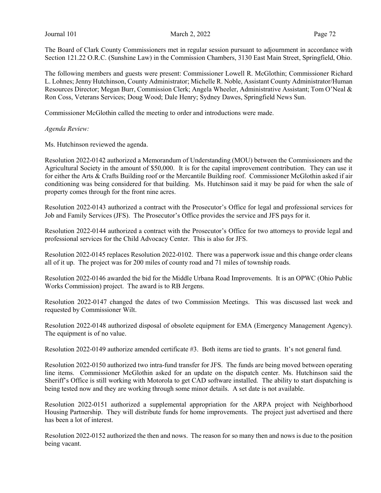The Board of Clark County Commissioners met in regular session pursuant to adjournment in accordance with Section 121.22 O.R.C. (Sunshine Law) in the Commission Chambers, 3130 East Main Street, Springfield, Ohio.

The following members and guests were present: Commissioner Lowell R. McGlothin; Commissioner Richard L. Lohnes; Jenny Hutchinson, County Administrator; Michelle R. Noble, Assistant County Administrator/Human Resources Director; Megan Burr, Commission Clerk; Angela Wheeler, Administrative Assistant; Tom O'Neal & Ron Coss, Veterans Services; Doug Wood; Dale Henry; Sydney Dawes, Springfield News Sun.

Commissioner McGlothin called the meeting to order and introductions were made.

Agenda Review:

Ms. Hutchinson reviewed the agenda.

Resolution 2022-0142 authorized a Memorandum of Understanding (MOU) between the Commissioners and the Agricultural Society in the amount of \$50,000. It is for the capital improvement contribution. They can use it for either the Arts & Crafts Building roof or the Mercantile Building roof. Commissioner McGlothin asked if air conditioning was being considered for that building. Ms. Hutchinson said it may be paid for when the sale of property comes through for the front nine acres.

Resolution 2022-0143 authorized a contract with the Prosecutor's Office for legal and professional services for Job and Family Services (JFS). The Prosecutor's Office provides the service and JFS pays for it.

Resolution 2022-0144 authorized a contract with the Prosecutor's Office for two attorneys to provide legal and professional services for the Child Advocacy Center. This is also for JFS.

Resolution 2022-0145 replaces Resolution 2022-0102. There was a paperwork issue and this change order cleans all of it up. The project was for 200 miles of county road and 71 miles of township roads.

Resolution 2022-0146 awarded the bid for the Middle Urbana Road Improvements. It is an OPWC (Ohio Public Works Commission) project. The award is to RB Jergens.

Resolution 2022-0147 changed the dates of two Commission Meetings. This was discussed last week and requested by Commissioner Wilt.

Resolution 2022-0148 authorized disposal of obsolete equipment for EMA (Emergency Management Agency). The equipment is of no value.

Resolution 2022-0149 authorize amended certificate #3. Both items are tied to grants. It's not general fund.

Resolution 2022-0150 authorized two intra-fund transfer for JFS. The funds are being moved between operating line items. Commissioner McGlothin asked for an update on the dispatch center. Ms. Hutchinson said the Sheriff's Office is still working with Motorola to get CAD software installed. The ability to start dispatching is being tested now and they are working through some minor details. A set date is not available.

Resolution 2022-0151 authorized a supplemental appropriation for the ARPA project with Neighborhood Housing Partnership. They will distribute funds for home improvements. The project just advertised and there has been a lot of interest.

Resolution 2022-0152 authorized the then and nows. The reason for so many then and nows is due to the position being vacant.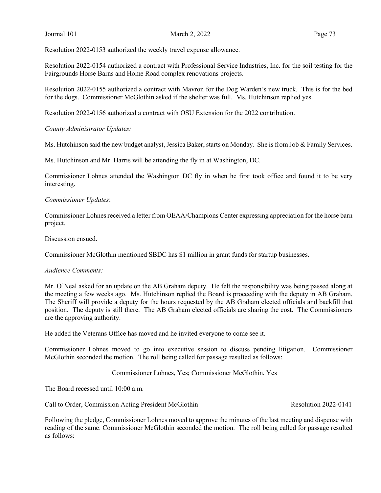Resolution 2022-0153 authorized the weekly travel expense allowance.

Resolution 2022-0154 authorized a contract with Professional Service Industries, Inc. for the soil testing for the Fairgrounds Horse Barns and Home Road complex renovations projects.

Resolution 2022-0155 authorized a contract with Mavron for the Dog Warden's new truck. This is for the bed for the dogs. Commissioner McGlothin asked if the shelter was full. Ms. Hutchinson replied yes.

Resolution 2022-0156 authorized a contract with OSU Extension for the 2022 contribution.

County Administrator Updates:

Ms. Hutchinson said the new budget analyst, Jessica Baker, starts on Monday. She is from Job & Family Services.

Ms. Hutchinson and Mr. Harris will be attending the fly in at Washington, DC.

Commissioner Lohnes attended the Washington DC fly in when he first took office and found it to be very interesting.

### Commissioner Updates:

Commissioner Lohnes received a letter from OEAA/Champions Center expressing appreciation for the horse barn project.

Discussion ensued.

Commissioner McGlothin mentioned SBDC has \$1 million in grant funds for startup businesses.

### Audience Comments:

Mr. O'Neal asked for an update on the AB Graham deputy. He felt the responsibility was being passed along at the meeting a few weeks ago. Ms. Hutchinson replied the Board is proceeding with the deputy in AB Graham. The Sheriff will provide a deputy for the hours requested by the AB Graham elected officials and backfill that position. The deputy is still there. The AB Graham elected officials are sharing the cost. The Commissioners are the approving authority.

He added the Veterans Office has moved and he invited everyone to come see it.

Commissioner Lohnes moved to go into executive session to discuss pending litigation. Commissioner McGlothin seconded the motion. The roll being called for passage resulted as follows:

Commissioner Lohnes, Yes; Commissioner McGlothin, Yes

The Board recessed until 10:00 a.m.

Call to Order, Commission Acting President McGlothin Resolution 2022-0141

Following the pledge, Commissioner Lohnes moved to approve the minutes of the last meeting and dispense with reading of the same. Commissioner McGlothin seconded the motion. The roll being called for passage resulted as follows: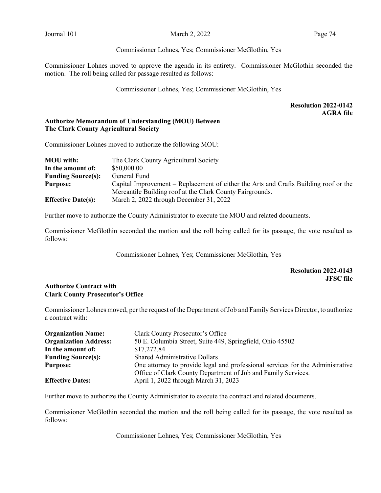### Commissioner Lohnes, Yes; Commissioner McGlothin, Yes

Commissioner Lohnes moved to approve the agenda in its entirety. Commissioner McGlothin seconded the motion. The roll being called for passage resulted as follows:

Commissioner Lohnes, Yes; Commissioner McGlothin, Yes

## Resolution 2022-0142 AGRA file

## Authorize Memorandum of Understanding (MOU) Between The Clark County Agricultural Society

Commissioner Lohnes moved to authorize the following MOU:

| <b>MOU</b> with:          | The Clark County Agricultural Society                                                |
|---------------------------|--------------------------------------------------------------------------------------|
| In the amount of:         | \$50,000.00                                                                          |
| <b>Funding Source(s):</b> | General Fund                                                                         |
| <b>Purpose:</b>           | Capital Improvement – Replacement of either the Arts and Crafts Building roof or the |
|                           | Mercantile Building roof at the Clark County Fairgrounds.                            |
| <b>Effective Date(s):</b> | March 2, 2022 through December 31, 2022                                              |

Further move to authorize the County Administrator to execute the MOU and related documents.

Commissioner McGlothin seconded the motion and the roll being called for its passage, the vote resulted as follows:

Commissioner Lohnes, Yes; Commissioner McGlothin, Yes

# Resolution 2022-0143 JFSC file

### Authorize Contract with Clark County Prosecutor's Office

Commissioner Lohnes moved, per the request of the Department of Job and Family Services Director, to authorize a contract with:

| <b>Organization Name:</b>    | Clark County Prosecutor's Office                                               |
|------------------------------|--------------------------------------------------------------------------------|
| <b>Organization Address:</b> | 50 E. Columbia Street, Suite 449, Springfield, Ohio 45502                      |
| In the amount of:            | \$17,272.84                                                                    |
| <b>Funding Source(s):</b>    | <b>Shared Administrative Dollars</b>                                           |
| <b>Purpose:</b>              | One attorney to provide legal and professional services for the Administrative |
|                              | Office of Clark County Department of Job and Family Services.                  |
| <b>Effective Dates:</b>      | April 1, 2022 through March 31, 2023                                           |

Further move to authorize the County Administrator to execute the contract and related documents.

Commissioner McGlothin seconded the motion and the roll being called for its passage, the vote resulted as follows:

Commissioner Lohnes, Yes; Commissioner McGlothin, Yes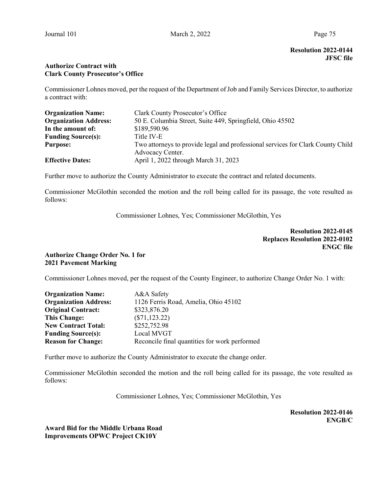# Resolution 2022-0144 JFSC file

## Authorize Contract with Clark County Prosecutor's Office

Commissioner Lohnes moved, per the request of the Department of Job and Family Services Director, to authorize a contract with:

| <b>Organization Name:</b>    | Clark County Prosecutor's Office                                                |
|------------------------------|---------------------------------------------------------------------------------|
| <b>Organization Address:</b> | 50 E. Columbia Street, Suite 449, Springfield, Ohio 45502                       |
| In the amount of:            | \$189,590.96                                                                    |
| <b>Funding Source(s):</b>    | Title IV-E                                                                      |
| <b>Purpose:</b>              | Two attorneys to provide legal and professional services for Clark County Child |
|                              | Advocacy Center.                                                                |
| <b>Effective Dates:</b>      | April 1, 2022 through March 31, 2023                                            |

Further move to authorize the County Administrator to execute the contract and related documents.

Commissioner McGlothin seconded the motion and the roll being called for its passage, the vote resulted as follows:

Commissioner Lohnes, Yes; Commissioner McGlothin, Yes

Resolution 2022-0145 Replaces Resolution 2022-0102 ENGC file

## Authorize Change Order No. 1 for 2021 Pavement Marking

Commissioner Lohnes moved, per the request of the County Engineer, to authorize Change Order No. 1 with:

| <b>Organization Name:</b>    | A&A Safety                                    |
|------------------------------|-----------------------------------------------|
| <b>Organization Address:</b> | 1126 Ferris Road, Amelia, Ohio 45102          |
| <b>Original Contract:</b>    | \$323,876.20                                  |
| <b>This Change:</b>          | $(\$71, 123.22)$                              |
| <b>New Contract Total:</b>   | \$252,752.98                                  |
| <b>Funding Source(s):</b>    | Local MVGT                                    |
| <b>Reason for Change:</b>    | Reconcile final quantities for work performed |

Further move to authorize the County Administrator to execute the change order.

Commissioner McGlothin seconded the motion and the roll being called for its passage, the vote resulted as follows:

Commissioner Lohnes, Yes; Commissioner McGlothin, Yes

Resolution 2022-0146 ENGB/C

Award Bid for the Middle Urbana Road Improvements OPWC Project CK10Y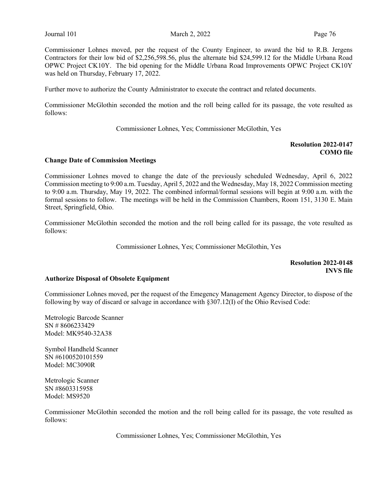Commissioner Lohnes moved, per the request of the County Engineer, to award the bid to R.B. Jergens Contractors for their low bid of \$2,256,598.56, plus the alternate bid \$24,599.12 for the Middle Urbana Road OPWC Project CK10Y. The bid opening for the Middle Urbana Road Improvements OPWC Project CK10Y was held on Thursday, February 17, 2022.

Further move to authorize the County Administrator to execute the contract and related documents.

Commissioner McGlothin seconded the motion and the roll being called for its passage, the vote resulted as follows:

Commissioner Lohnes, Yes; Commissioner McGlothin, Yes

## Resolution 2022-0147 COMO file

### Change Date of Commission Meetings

Commissioner Lohnes moved to change the date of the previously scheduled Wednesday, April 6, 2022 Commission meeting to 9:00 a.m. Tuesday, April 5, 2022 and the Wednesday, May 18, 2022 Commission meeting to 9:00 a.m. Thursday, May 19, 2022. The combined informal/formal sessions will begin at 9:00 a.m. with the formal sessions to follow. The meetings will be held in the Commission Chambers, Room 151, 3130 E. Main Street, Springfield, Ohio.

Commissioner McGlothin seconded the motion and the roll being called for its passage, the vote resulted as follows:

Commissioner Lohnes, Yes; Commissioner McGlothin, Yes

Resolution 2022-0148 INVS file

### Authorize Disposal of Obsolete Equipment

Commissioner Lohnes moved, per the request of the Emegency Management Agency Director, to dispose of the following by way of discard or salvage in accordance with §307.12(I) of the Ohio Revised Code:

Metrologic Barcode Scanner SN # 8606233429 Model: MK9540-32A38

Symbol Handheld Scanner SN #6100520101559 Model: MC3090R

Metrologic Scanner SN #8603315958 Model: MS9520

Commissioner McGlothin seconded the motion and the roll being called for its passage, the vote resulted as follows:

Commissioner Lohnes, Yes; Commissioner McGlothin, Yes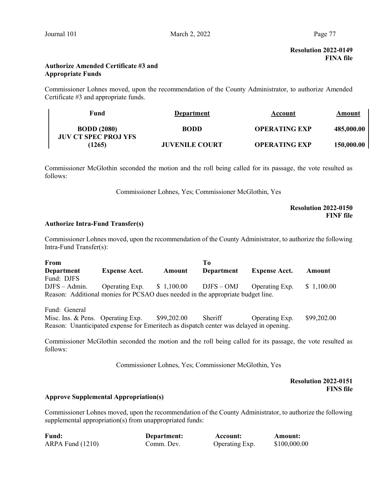## Authorize Amended Certificate #3 and Appropriate Funds

Commissioner Lohnes moved, upon the recommendation of the County Administrator, to authorize Amended Certificate #3 and appropriate funds.

| Fund                                              | Department            | Account              | Amount     |
|---------------------------------------------------|-----------------------|----------------------|------------|
| <b>BODD</b> (2080)<br><b>JUV CT SPEC PROJ YFS</b> | <b>BODD</b>           | <b>OPERATING EXP</b> | 485,000.00 |
| (1265)                                            | <b>JUVENILE COURT</b> | <b>OPERATING EXP</b> | 150,000.00 |

Commissioner McGlothin seconded the motion and the roll being called for its passage, the vote resulted as follows:

Commissioner Lohnes, Yes; Commissioner McGlothin, Yes

# Resolution 2022-0150 FINF file

### Authorize Intra-Fund Transfer(s)

Commissioner Lohnes moved, upon the recommendation of the County Administrator, to authorize the following Intra-Fund Transfer(s):

| From                                                                            |                      |        | To         |                                                      |            |
|---------------------------------------------------------------------------------|----------------------|--------|------------|------------------------------------------------------|------------|
| Department                                                                      | <b>Expense Acct.</b> | Amount | Department | <b>Expense Acct.</b>                                 | Amount     |
| Fund: DJFS                                                                      |                      |        |            |                                                      |            |
| $DJFS - Admin.$                                                                 |                      |        |            | Operating Exp. $$1,100.00$ DJFS - OMJ Operating Exp. | \$1,100.00 |
| Reason: Additional monies for PCSAO dues needed in the appropriate budget line. |                      |        |            |                                                      |            |

Fund: General

Misc. Ins. & Pens. Operating Exp. \$99,202.00 Sheriff Operating Exp. \$99,202.00 Reason: Unanticipated expense for Emeritech as dispatch center was delayed in opening.

Commissioner McGlothin seconded the motion and the roll being called for its passage, the vote resulted as follows:

Commissioner Lohnes, Yes; Commissioner McGlothin, Yes

Resolution 2022-0151 FINS file

# Approve Supplemental Appropriation(s)

Commissioner Lohnes moved, upon the recommendation of the County Administrator, to authorize the following supplemental appropriation(s) from unappropriated funds:

| <b>Fund:</b>         | Department: | Account:       | <b>Amount:</b> |
|----------------------|-------------|----------------|----------------|
| $ARPA$ Fund $(1210)$ | Comm. Dev.  | Operating Exp. | \$100,000.00   |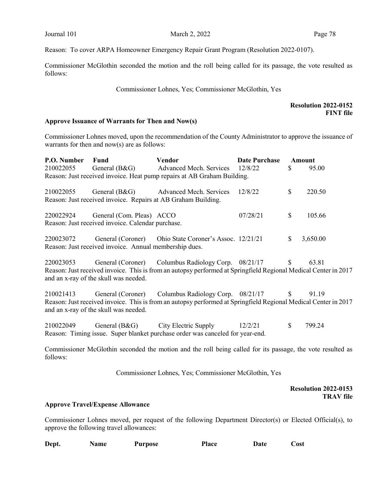Reason: To cover ARPA Homeowner Emergency Repair Grant Program (Resolution 2022-0107).

Commissioner McGlothin seconded the motion and the roll being called for its passage, the vote resulted as follows:

Commissioner Lohnes, Yes; Commissioner McGlothin, Yes

### Resolution 2022-0152 FINT file

#### Approve Issuance of Warrants for Then and Now(s)

Commissioner Lohnes moved, upon the recommendation of the County Administrator to approve the issuance of warrants for then and now(s) are as follows:

| P.O. Number | Fund                                                                                     | <b>Vendor</b>                                                                                                                                                          | <b>Date Purchase</b> |              | Amount   |
|-------------|------------------------------------------------------------------------------------------|------------------------------------------------------------------------------------------------------------------------------------------------------------------------|----------------------|--------------|----------|
| 210022055   | General $(B&G)$                                                                          | <b>Advanced Mech. Services</b>                                                                                                                                         | 12/8/22              | \$           | 95.00    |
|             |                                                                                          | Reason: Just received invoice. Heat pump repairs at AB Graham Building.                                                                                                |                      |              |          |
| 210022055   |                                                                                          | General (B&G) Advanced Mech. Services<br>Reason: Just received invoice. Repairs at AB Graham Building.                                                                 | 12/8/22              | \$           | 220.50   |
|             | 220022924 General (Com. Pleas) ACCO<br>Reason: Just received invoice. Calendar purchase. |                                                                                                                                                                        | 07/28/21             | $\mathbb{S}$ | 105.66   |
| 220023072   | Reason: Just received invoice. Annual membership dues.                                   | General (Coroner) Ohio State Coroner's Assoc. 12/21/21                                                                                                                 |                      | $\mathbb{S}$ | 3,650.00 |
| 220023053   | and an x-ray of the skull was needed.                                                    | General (Coroner) Columbus Radiology Corp. 08/21/17<br>Reason: Just received invoice. This is from an autopsy performed at Springfield Regional Medical Center in 2017 |                      | \$           | 63.81    |
| 210021413   | and an x-ray of the skull was needed.                                                    | General (Coroner) Columbus Radiology Corp. 08/21/17<br>Reason: Just received invoice. This is from an autopsy performed at Springfield Regional Medical Center in 2017 |                      | <sup>S</sup> | 91.19    |

210022049 General (B&G) City Electric Supply 12/2/21 \$ 799.24 Reason: Timing issue. Super blanket purchase order was canceled for year-end.

Commissioner McGlothin seconded the motion and the roll being called for its passage, the vote resulted as follows:

Commissioner Lohnes, Yes; Commissioner McGlothin, Yes

### Resolution 2022-0153 TRAV file

#### Approve Travel/Expense Allowance

Commissioner Lohnes moved, per request of the following Department Director(s) or Elected Official(s), to approve the following travel allowances:

| Dept. | <b>Name</b> | <b>Purpose</b> | Place | Date | Cost |
|-------|-------------|----------------|-------|------|------|
|       |             |                |       |      |      |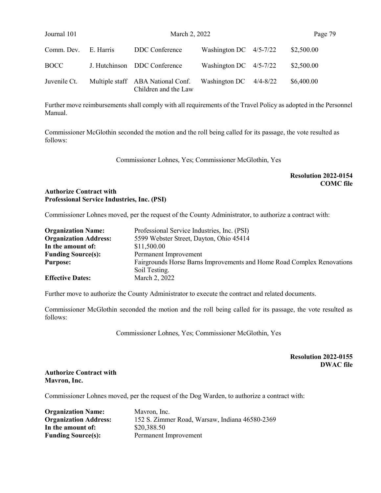| Journal 101  |           | March 2, 2022                                             |                          | Page 79    |
|--------------|-----------|-----------------------------------------------------------|--------------------------|------------|
| Comm. Dev.   | E. Harris | DDC Conference                                            | Washington DC $4/5-7/22$ | \$2,500.00 |
| <b>BOCC</b>  |           | J. Hutchinson DDC Conference                              | Washington DC $4/5-7/22$ | \$2,500.00 |
| Juvenile Ct. |           | Multiple staff ABA National Conf.<br>Children and the Law | Washington DC $4/4-8/22$ | \$6,400.00 |

Further move reimbursements shall comply with all requirements of the Travel Policy as adopted in the Personnel Manual.

Commissioner McGlothin seconded the motion and the roll being called for its passage, the vote resulted as follows:

Commissioner Lohnes, Yes; Commissioner McGlothin, Yes

# Resolution 2022-0154 COMC file

# Authorize Contract with Professional Service Industries, Inc. (PSI)

Commissioner Lohnes moved, per the request of the County Administrator, to authorize a contract with:

| <b>Organization Name:</b>    | Professional Service Industries, Inc. (PSI)                            |
|------------------------------|------------------------------------------------------------------------|
| <b>Organization Address:</b> | 5599 Webster Street, Dayton, Ohio 45414                                |
| In the amount of:            | \$11,500.00                                                            |
| <b>Funding Source(s):</b>    | Permanent Improvement                                                  |
| <b>Purpose:</b>              | Fairgrounds Horse Barns Improvements and Home Road Complex Renovations |
|                              | Soil Testing.                                                          |
| <b>Effective Dates:</b>      | March 2, 2022                                                          |

Further move to authorize the County Administrator to execute the contract and related documents.

Commissioner McGlothin seconded the motion and the roll being called for its passage, the vote resulted as follows:

Commissioner Lohnes, Yes; Commissioner McGlothin, Yes

# Resolution 2022-0155 DWAC file

### Authorize Contract with Mavron, Inc.

Commissioner Lohnes moved, per the request of the Dog Warden, to authorize a contract with:

| <b>Organization Name:</b>    | Mavron, Inc.                                   |
|------------------------------|------------------------------------------------|
| <b>Organization Address:</b> | 152 S. Zimmer Road, Warsaw, Indiana 46580-2369 |
| In the amount of:            | \$20,388.50                                    |
| <b>Funding Source(s):</b>    | Permanent Improvement                          |